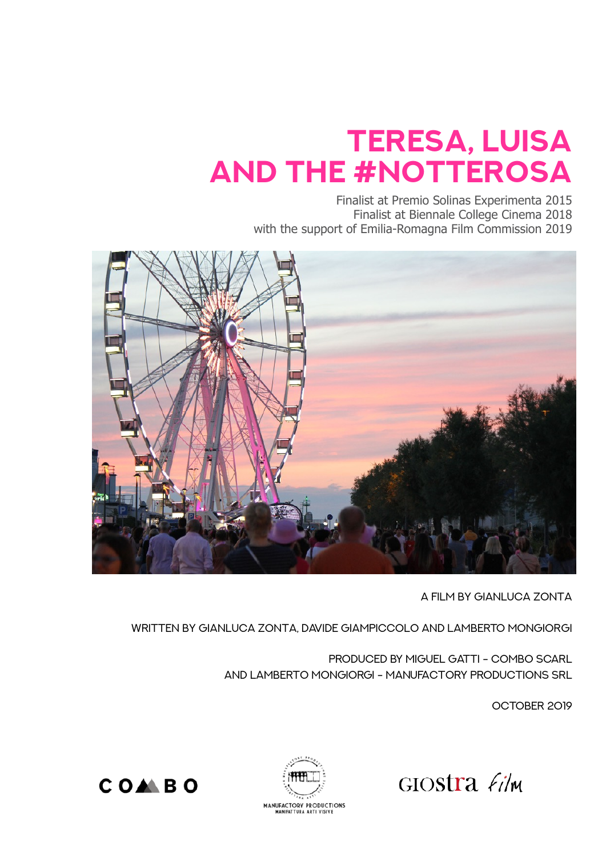## **TERESA, LUISA and the #NOTTEROSA**

Finalist at Premio Solinas Experimenta 2015 Finalist at Biennale College Cinema 2018 with the support of Emilia-Romagna Film Commission 2019



A Film By Gianluca Zonta

Written By Gianluca Zonta, Davide Giampiccolo and LAMBERTO MONGIORGI

Produced by MIGUEL GATTI - COMBO SCARL and Lamberto Mongiorgi - Manufactory productions SRL

OCTOBER 2019

GIOSTTA  $f_i/m$ 



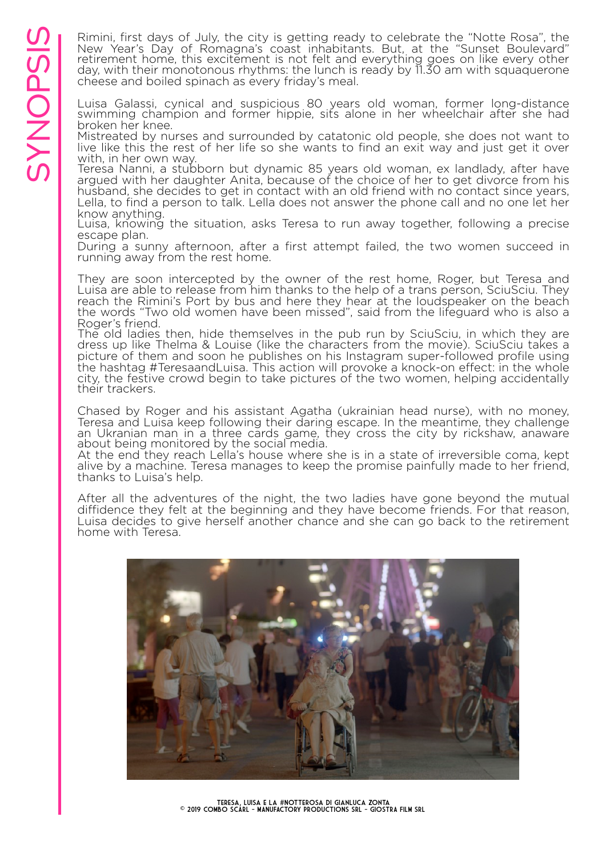Synopsis Consumer the Consumer the Consumer Consumer the Consumer the Consumer the Consumer the Mey, with their monotonous rhythms; the lunch is ready by 11.30 am with squaquerone of the cheese and boiled spinach as every Rimini, first days of July, the city is getting ready to celebrate the "Notte Rosa", the<br>New Year's Day of Romagna's coast inhabitants. But, at the "Sunset Boulevard" retirement home, this excitement is not felt and everything goes on like every other day, with their monotonous rhythms: the lunch is ready by 11.30 am with squaquerone cheese and boiled spinach as every friday's meal.

Luisa Galassi, cynical and suspicious 80 years old woman, former long-distance swimming champion and former hippie, sits alone in her wheelchair after she had broken her knee.

Mistreated by nurses and surrounded by catatonic old people, she does not want to live like this the rest of her life so she wants to find an exit way and just get it over with, in her own way.

Teresa Nanni, a stubborn but dynamic 85 years old woman, ex landlady, after have argued with her daughter Anita, because of the choice of her to get divorce from his husband, she decides to get in contact with an old friend with no contact since years, Lella, to find a person to talk. Lella does not answer the phone call and no one let her know anything.

Luisa, knowing the situation, asks Teresa to run away together, following a precise escape plan.

During a sunny afternoon, after a first attempt failed, the two women succeed in running away from the rest home.

They are soon intercepted by the owner of the rest home, Roger, but Teresa and Luisa are able to release from him thanks to the help of a trans person, SciuSciu. They reach the Rimini's Port by bus and here they hear at the loudspeaker on the beach the words "Two old women have been missed", said from the lifeguard who is also a Roger's friend.

The old ladies then, hide themselves in the pub run by SciuSciu, in which they are dress up like Thelma & Louise (like the characters from the movie). SciuSciu takes a picture of them and soon he publishes on his Instagram super-followed profile using the hashtag #TeresaandLuisa. This action will provoke a knock-on effect: in the whole city, the festive crowd begin to take pictures of the two women, helping accidentally their trackers.

Chased by Roger and his assistant Agatha (ukrainian head nurse), with no money, Teresa and Luisa keep following their daring escape. In the meantime, they challenge an Ukranian man in a three cards game, they cross the city by rickshaw, anaware about being monitored by the social media.

At the end they reach Lella's house where she is in a state of irreversible coma, kept alive by a machine. Teresa manages to keep the promise painfully made to her friend, thanks to Luisa's help.

After all the adventures of the night, the two ladies have gone beyond the mutual diffidence they felt at the beginning and they have become friends. For that reason, Luisa decides to give herself another chance and she can go back to the retirement home with Teresa.

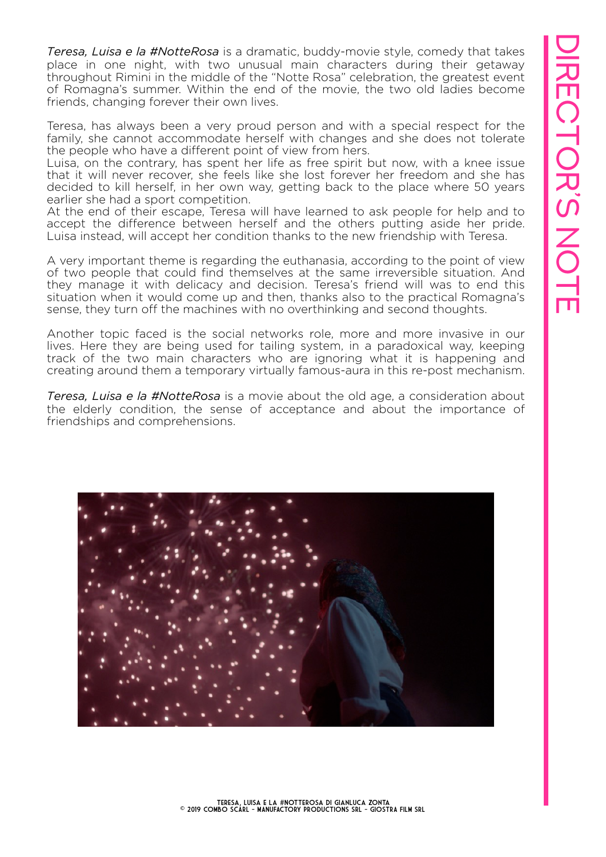*Teresa, Luisa e la #NotteRosa* is a dramatic, buddy-movie style, comedy that takes place in one night, with two unusual main characters during their getaway throughout Rimini in the middle of the "Notte Rosa" celebration, the greatest event of Romagna's summer. Within the end of the movie, the two old ladies become friends, changing forever their own lives.

Teresa, has always been a very proud person and with a special respect for the family, she cannot accommodate herself with changes and she does not tolerate the people who have a different point of view from hers.

Luisa, on the contrary, has spent her life as free spirit but now, with a knee issue that it will never recover, she feels like she lost forever her freedom and she has decided to kill herself, in her own way, getting back to the place where 50 years earlier she had a sport competition.

At the end of their escape, Teresa will have learned to ask people for help and to accept the difference between herself and the others putting aside her pride. Luisa instead, will accept her condition thanks to the new friendship with Teresa.

A very important theme is regarding the euthanasia, according to the point of view of two people that could find themselves at the same irreversible situation. And they manage it with delicacy and decision. Teresa's friend will was to end this situation when it would come up and then, thanks also to the practical Romagna's sense, they turn off the machines with no overthinking and second thoughts.

Another topic faced is the social networks role, more and more invasive in our lives. Here they are being used for tailing system, in a paradoxical way, keeping track of the two main characters who are ignoring what it is happening and creating around them a temporary virtually famous-aura in this re-post mechanism.

*Teresa, Luisa e la #NotteRosa* is a movie about the old age, a consideration about the elderly condition, the sense of acceptance and about the importance of friendships and comprehensions.

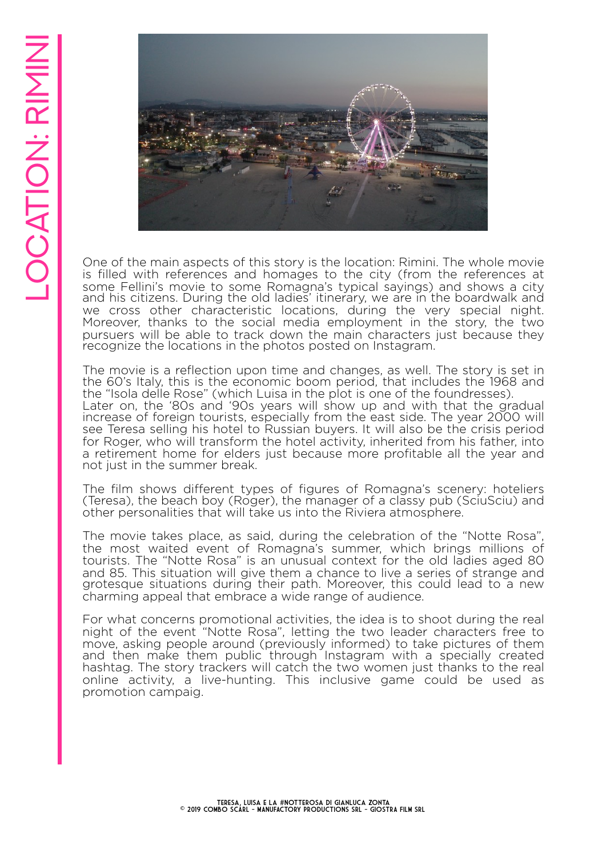

One of the main aspects of this story is the location: Rimini. The whole movie is filled with references and homages to the city (from the references at some Fellini's movie to some Romagna's typical sayings) and shows a city and his citizens. During the old ladies' itinerary, we are in the boardwalk and we cross other characteristic locations, during the very special night. Moreover, thanks to the social media employment in the story, the two pursuers will be able to track down the main characters just because they recognize the locations in the photos posted on Instagram.

The movie is a reflection upon time and changes, as well. The story is set in the 60's Italy, this is the economic boom period, that includes the 1968 and the "Isola delle Rose" (which Luisa in the plot is one of the foundresses). Later on, the '80s and '90s years will show up and with that the gradual increase of foreign tourists, especially from the east side. The year 2000 will see Teresa selling his hotel to Russian buyers. It will also be the crisis period for Roger, who will transform the hotel activity, inherited from his father, into a retirement home for elders just because more profitable all the year and not just in the summer break.

The film shows different types of figures of Romagna's scenery: hoteliers (Teresa), the beach boy (Roger), the manager of a classy pub (SciuSciu) and other personalities that will take us into the Riviera atmosphere.

The movie takes place, as said, during the celebration of the "Notte Rosa", the most waited event of Romagna's summer, which brings millions of tourists. The "Notte Rosa" is an unusual context for the old ladies aged 80 and 85. This situation will give them a chance to live a series of strange and grotesque situations during their path. Moreover, this could lead to a new charming appeal that embrace a wide range of audience.

For what concerns promotional activities, the idea is to shoot during the real night of the event "Notte Rosa", letting the two leader characters free to move, asking people around (previously informed) to take pictures of them and then make them public through Instagram with a specially created hashtag. The story trackers will catch the two women just thanks to the real online activity, a live-hunting. This inclusive game could be used as promotion campaig.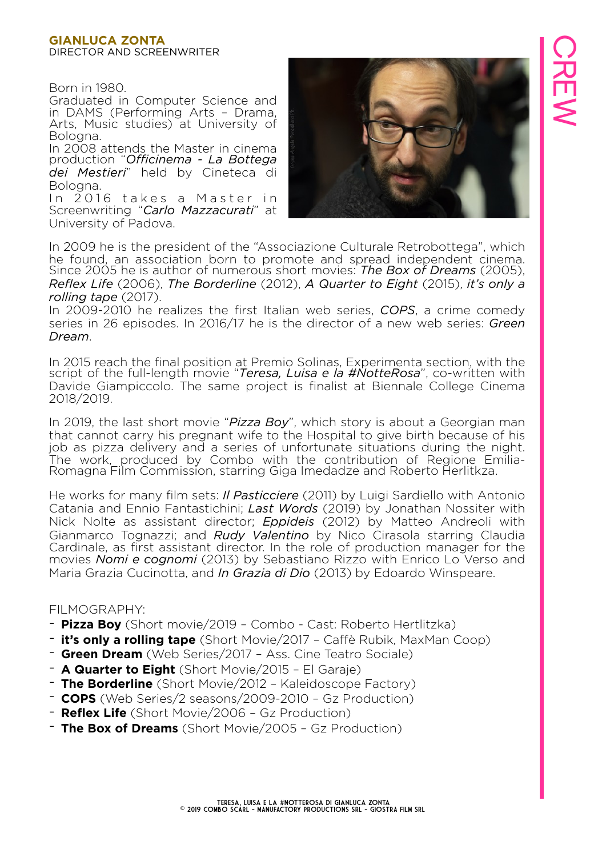#### **GIANLUCA ZONTA**  DIRECTOR AND SCREENWRITER

Born in 1980.

Graduated in Computer Science and in DAMS (Performing Arts – Drama, Arts, Music studies) at University of Bologna.

In 2008 attends the Master in cinema production "*Officinema - La Bottega dei Mestieri*" held by Cineteca di Bologna.

In 2016 takes a Master in Screenwriting "*Carlo Mazzacurati*" at University of Padova.



In 2009 he is the president of the "Associazione Culturale Retrobottega", which he found, an association born to promote and spread independent cinema. Since 2005 he is author of numerous short movies: *The Box of Dreams* (2005), *Reflex Life* (2006), *The Borderline* (2012), *A Quarter to Eight* (2015), *it's only a rolling tape* (2017).

In 2009-2010 he realizes the first Italian web series, *COPS*, a crime comedy series in 26 episodes. In 2016/17 he is the director of a new web series: *Green Dream*.

In 2015 reach the final position at Premio Solinas, Experimenta section, with the script of the full-length movie "*Teresa, Luisa e la #NotteRosa*", co-written with Davide Giampiccolo. The same project is finalist at Biennale College Cinema 2018/2019.

In 2019, the last short movie "*Pizza Boy*", which story is about a Georgian man that cannot carry his pregnant wife to the Hospital to give birth because of his job as pizza delivery and a series of unfortunate situations during the night. The work, produced by Combo with the contribution of Regione Emilia-Romagna Film Commission, starring Giga Imedadze and Roberto Herlitkza.

He works for many film sets: *Il Pasticciere* (2011) by Luigi Sardiello with Antonio Catania and Ennio Fantastichini; *Last Words* (2019) by Jonathan Nossiter with Nick Nolte as assistant director; *Eppideis* (2012) by Matteo Andreoli with Gianmarco Tognazzi; and *Rudy Valentino* by Nico Cirasola starring Claudia Cardinale, as first assistant director. In the role of production manager for the movies *Nomi e cognomi* (2013) by Sebastiano Rizzo with Enrico Lo Verso and Maria Grazia Cucinotta, and *In Grazia di Dio* (2013) by Edoardo Winspeare.

#### FILMOGRAPHY:

- **Pizza Boy** (Short movie/2019 Combo Cast: Roberto Hertlitzka)
- **it's only a rolling tape** (Short Movie/2017 Caffè Rubik, MaxMan Coop)
- **Green Dream** (Web Series/2017 Ass. Cine Teatro Sociale)
- **A Quarter to Eight** (Short Movie/2015 El Garaje)
- **The Borderline** (Short Movie/2012 Kaleidoscope Factory)
- **COPS** (Web Series/2 seasons/2009-2010 Gz Production)
- **Reflex Life** (Short Movie/2006 Gz Production)
- **The Box of Dreams** (Short Movie/2005 Gz Production)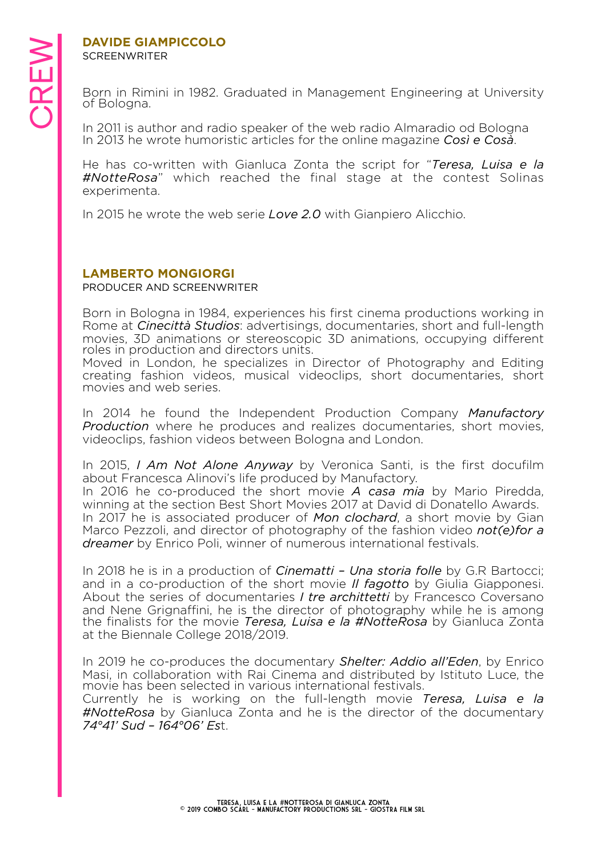### **SCREENWRITER**

**DAVIDE GIAMPICCOLO**<br>
SCREENWRITER<br>
Born in Rimini in 1982. C<br>
of Bologna.<br>
In 2011 is author and radi Born in Rimini in 1982. Graduated in Management Engineering at University of Bologna.

In 2011 is author and radio speaker of the web radio Almaradio od Bologna In 2013 he wrote humoristic articles for the online magazine *Così e Cosà*.

He has co-written with Gianluca Zonta the script for "*Teresa, Luisa e la #NotteRosa*" which reached the final stage at the contest Solinas experimenta.

In 2015 he wrote the web serie *Love 2.0* with Gianpiero Alicchio.

#### **LAMBERTO MONGIORGI**

PRODUCER AND SCREENWRITER

Born in Bologna in 1984, experiences his first cinema productions working in Rome at *Cinecittà Studios*: advertisings, documentaries, short and full-length movies, 3D animations or stereoscopic 3D animations, occupying different roles in production and directors units.

Moved in London, he specializes in Director of Photography and Editing creating fashion videos, musical videoclips, short documentaries, short movies and web series.

In 2014 he found the Independent Production Company *Manufactory Production* where he produces and realizes documentaries, short movies, videoclips, fashion videos between Bologna and London.

In 2015, *I Am Not Alone Anyway* by Veronica Santi, is the first docufilm about Francesca Alinovi's life produced by Manufactory.

In 2016 he co-produced the short movie *A casa mia* by Mario Piredda, winning at the section Best Short Movies 2017 at David di Donatello Awards. In 2017 he is associated producer of *Mon clochard*, a short movie by Gian Marco Pezzoli, and director of photography of the fashion video *not(e)for a dreamer* by Enrico Poli, winner of numerous international festivals.

In 2018 he is in a production of *Cinematti – Una storia folle* by G.R Bartocci; and in a co-production of the short movie *Il fagotto* by Giulia Giapponesi. About the series of documentaries *I tre archittetti* by Francesco Coversano and Nene Grignaffini, he is the director of photography while he is among the finalists for the movie *Teresa, Luisa e la #NotteRosa* by Gianluca Zonta at the Biennale College 2018/2019.

In 2019 he co-produces the documentary *Shelter: Addio all'Eden*, by Enrico Masi, in collaboration with Rai Cinema and distributed by Istituto Luce, the movie has been selected in various international festivals.

Currently he is working on the full-length movie *Teresa, Luisa e la #NotteRosa* by Gianluca Zonta and he is the director of the documentary *74°41' Sud – 164°06' Es*t.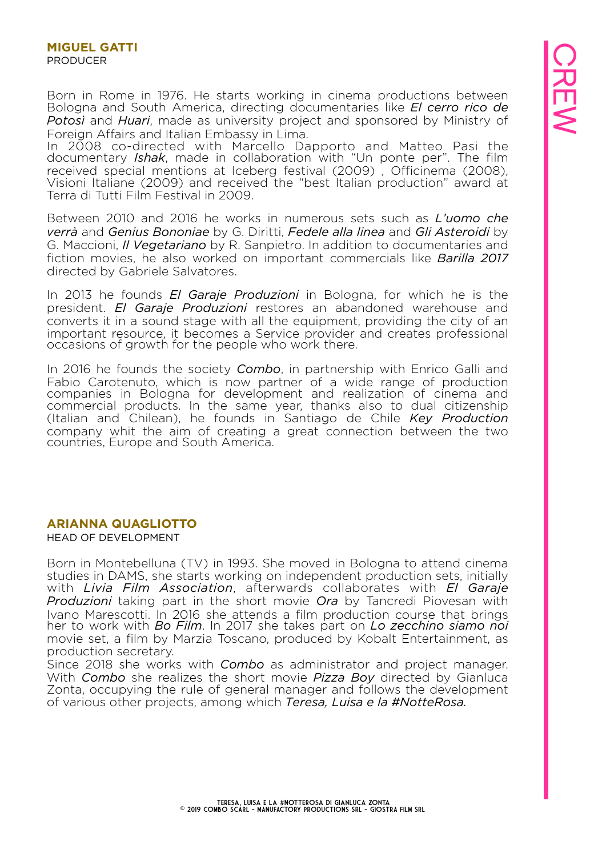Born in Rome in 1976. He starts working in cinema productions between Bologna and South America, directing documentaries like *El cerro rico de Potosì* and *Huari*, made as university project and sponsored by Ministry of Foreign Affairs and Italian Embassy in Lima.

In 2008 co-directed with Marcello Dapporto and Matteo Pasi the documentary *Ishak*, made in collaboration with "Un ponte per". The film received special mentions at Iceberg festival (2009) , Officinema (2008), Visioni Italiane (2009) and received the "best Italian production" award at Terra di Tutti Film Festival in 2009.

Between 2010 and 2016 he works in numerous sets such as *L'uomo che verrà* and *Genius Bononiae* by G. Diritti, *Fedele alla linea* and *Gli Asteroidi* by G. Maccioni, *Il Vegetariano* by R. Sanpietro. In addition to documentaries and fiction movies, he also worked on important commercials like *Barilla 2017* directed by Gabriele Salvatores.

In 2013 he founds *El Garaje Produzioni* in Bologna, for which he is the president. *El Garaje Produzioni* restores an abandoned warehouse and converts it in a sound stage with all the equipment, providing the city of an important resource, it becomes a Service provider and creates professional occasions of growth for the people who work there.

In 2016 he founds the society *Combo*, in partnership with Enrico Galli and Fabio Carotenuto, which is now partner of a wide range of production companies in Bologna for development and realization of cinema and commercial products. In the same year, thanks also to dual citizenship (Italian and Chilean), he founds in Santiago de Chile *Key Production* company whit the aim of creating a great connection between the two countries, Europe and South America.

#### **ARIANNA QUAGLIOTTO**

HEAD OF DEVELOPMENT

Born in Montebelluna (TV) in 1993. She moved in Bologna to attend cinema studies in DAMS, she starts working on independent production sets, initially with *Livia Film Association*, afterwards collaborates with *El Garaje Produzioni* taking part in the short movie *Ora* by Tancredi Piovesan with Ivano Marescotti. In 2016 she attends a film production course that brings her to work with *Bo Film*. In 2017 she takes part on *Lo zecchino siamo noi* movie set, a film by Marzia Toscano, produced by Kobalt Entertainment, as production secretary.

Since 2018 she works with *Combo* as administrator and project manager. With *Combo* she realizes the short movie *Pizza Boy* directed by Gianluca Zonta, occupying the rule of general manager and follows the development of various other projects, among which *Teresa, Luisa e la #NotteRosa.*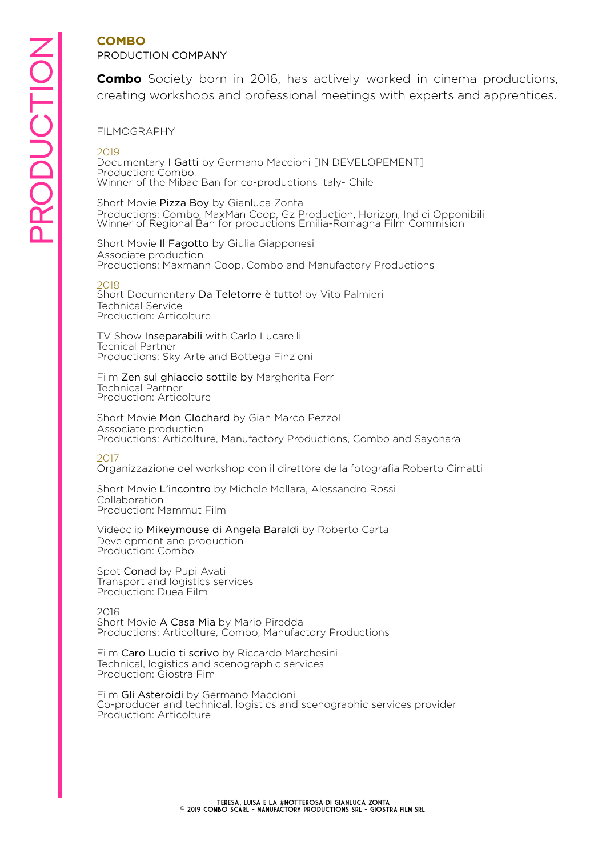#### **COMBO**  PRODUCTION COMPANY

**Combo** Society born in 2016, has actively worked in cinema productions, creating workshops and professional meetings with experts and apprentices.

#### FILMOGRAPHY

2019

Documentary I Gatti by Germano Maccioni [IN DEVELOPEMENT] Production: Combo, Winner of the Mibac Ban for co-productions Italy- Chile

Short Movie Pizza Boy by Gianluca Zonta Productions: Combo, MaxMan Coop, Gz Production, Horizon, Indici Opponibili Winner of Regional Ban for productions Emilia-Romagna Film Commision

Short Movie Il Fagotto by Giulia Giapponesi Associate production Productions: Maxmann Coop, Combo and Manufactory Productions

#### 2018

Short Documentary Da Teletorre è tutto! by Vito Palmieri Technical Service Production: Articolture

TV Show Inseparabili with Carlo Lucarelli Tecnical Partner Productions: Sky Arte and Bottega Finzioni

Film Zen sul ghiaccio sottile by Margherita Ferri Technical Partner Production: Articolture

Short Movie Mon Clochard by Gian Marco Pezzoli Associate production Productions: Articolture, Manufactory Productions, Combo and Sayonara

#### 2017

Organizzazione del workshop con il direttore della fotografia Roberto Cimatti

Short Movie L'incontro by Michele Mellara, Alessandro Rossi Collaboration Production: Mammut Film

Videoclip Mikeymouse di Angela Baraldi by Roberto Carta Development and production Production: Combo

Spot Conad by Pupi Avati Transport and logistics services Production: Duea Film

2016 Short Movie A Casa Mia by Mario Piredda Productions: Articolture, Combo, Manufactory Productions

Film Caro Lucio ti scrivo by Riccardo Marchesini Technical, logistics and scenographic services Production: Giostra Fim

Film Gli Asteroidi by Germano Maccioni Co-producer and technical, logistics and scenographic services provider Production: Articolture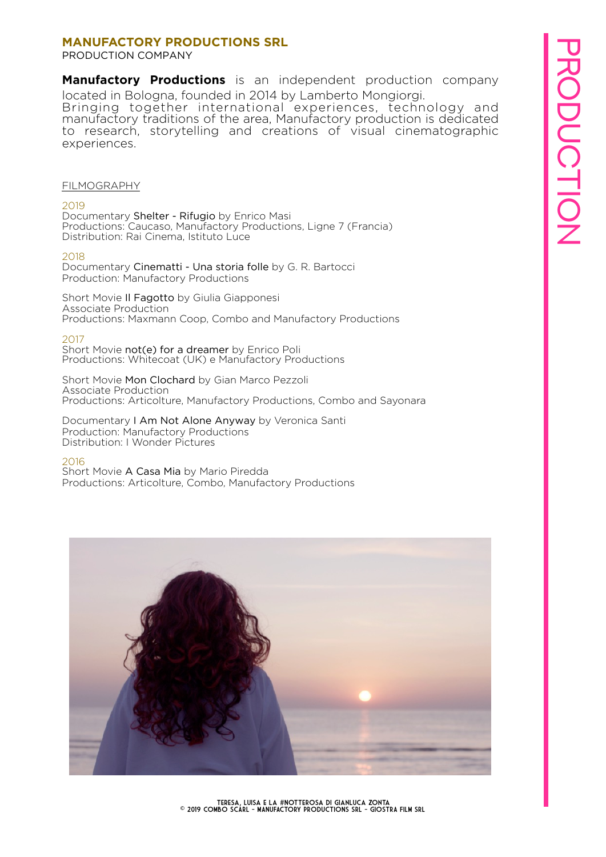# PRODUCTION**PRODUCTION**

#### **MANUFACTORY PRODUCTIONS SRL**

PRODUCTION COMPANY

**Manufactory Productions** is an independent production company located in Bologna, founded in 2014 by Lamberto Mongiorgi.

Bringing together international experiences, technology and manufactory traditions of the area, Manufactory production is dedicated to research, storytelling and creations of visual cinematographic experiences.

#### FILMOGRAPHY

#### 2019

Documentary Shelter - Rifugio by Enrico Masi Productions: Caucaso, Manufactory Productions, Ligne 7 (Francia) Distribution: Rai Cinema, Istituto Luce

#### 2018

Documentary Cinematti - Una storia folle by G. R. Bartocci Production: Manufactory Productions

Short Movie Il Fagotto by Giulia Giapponesi Associate Production Productions: Maxmann Coop, Combo and Manufactory Productions

#### 2017

Short Movie not(e) for a dreamer by Enrico Poli Productions: Whitecoat (UK) e Manufactory Productions

Short Movie Mon Clochard by Gian Marco Pezzoli Associate Production Productions: Articolture, Manufactory Productions, Combo and Sayonara

Documentary I Am Not Alone Anyway by Veronica Santi Production: Manufactory Productions Distribution: I Wonder Pictures

#### 2016

Short Movie A Casa Mia by Mario Piredda Productions: Articolture, Combo, Manufactory Productions

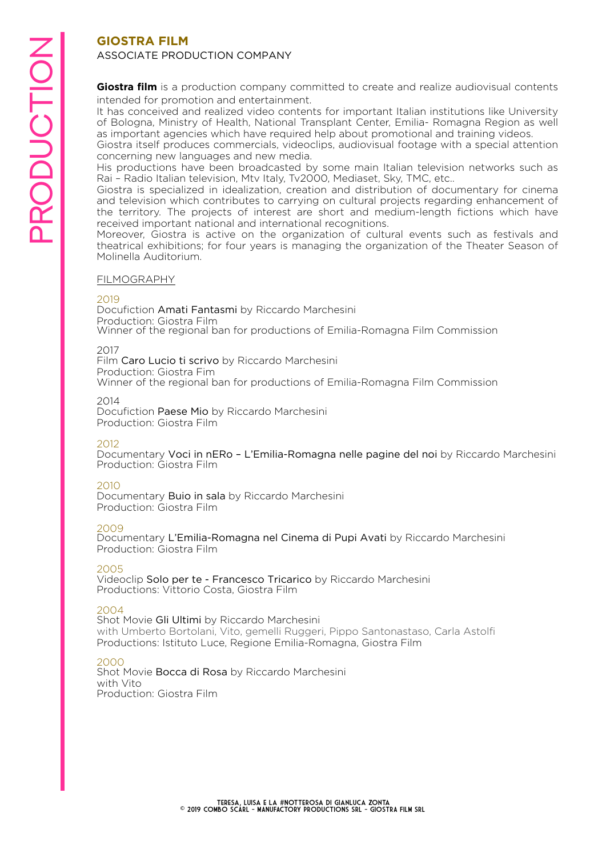#### **GIOSTRA FILM**  ASSOCIATE PRODUCTION COMPANY

**Giostra film** is a production company committed to create and realize audiovisual contents intended for promotion and entertainment.

It has conceived and realized video contents for important Italian institutions like University of Bologna, Ministry of Health, National Transplant Center, Emilia- Romagna Region as well as important agencies which have required help about promotional and training videos.

Giostra itself produces commercials, videoclips, audiovisual footage with a special attention concerning new languages and new media.

His productions have been broadcasted by some main Italian television networks such as Rai – Radio Italian television, Mtv Italy, Tv2000, Mediaset, Sky, TMC, etc..

Giostra is specialized in idealization, creation and distribution of documentary for cinema and television which contributes to carrying on cultural projects regarding enhancement of the territory. The projects of interest are short and medium-length fictions which have received important national and international recognitions.

Moreover, Giostra is active on the organization of cultural events such as festivals and theatrical exhibitions; for four years is managing the organization of the Theater Season of Molinella Auditorium.

#### FILMOGRAPHY

#### 2019

Docufiction Amati Fantasmi by Riccardo Marchesini Production: Giostra Film Winner of the regional ban for productions of Emilia-Romagna Film Commission

#### 2017

Film Caro Lucio ti scrivo by Riccardo Marchesini Production: Giostra Fim Winner of the regional ban for productions of Emilia-Romagna Film Commission

#### 2014

Docufiction Paese Mio by Riccardo Marchesini Production: Giostra Film

#### 2012

Documentary Voci in nERo – L'Emilia-Romagna nelle pagine del noi by Riccardo Marchesini Production: Giostra Film

#### 2010

Documentary Buio in sala by Riccardo Marchesini Production: Giostra Film

#### 2009

Documentary L'Emilia-Romagna nel Cinema di Pupi Avati by Riccardo Marchesini Production: Giostra Film

#### 2005

Videoclip Solo per te - Francesco Tricarico by Riccardo Marchesini Productions: Vittorio Costa, Giostra Film

#### 2004

Shot Movie Gli Ultimi by Riccardo Marchesini with Umberto Bortolani, Vito, gemelli Ruggeri, Pippo Santonastaso, Carla Astolfi Productions: Istituto Luce, Regione Emilia-Romagna, Giostra Film

#### 2000

Shot Movie Bocca di Rosa by Riccardo Marchesini with Vito Production: Giostra Film